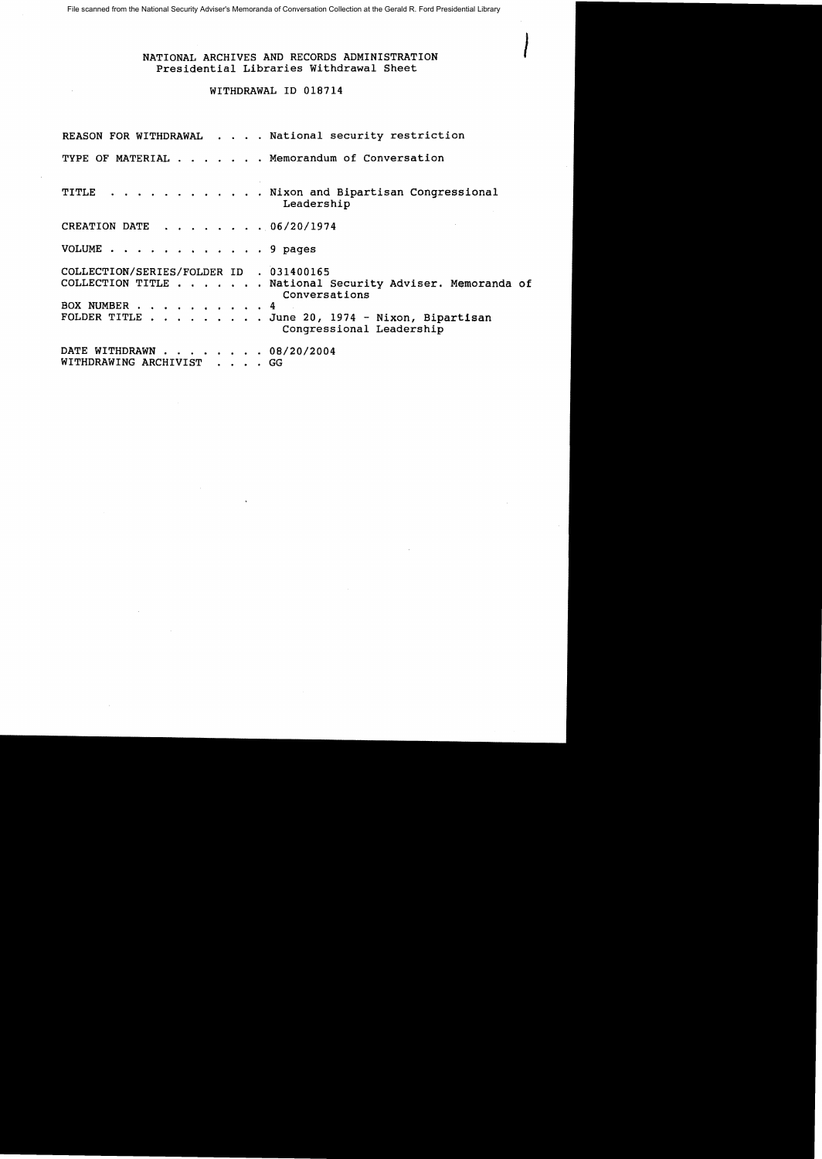File scanned from the National Security Adviser's Memoranda of Conversation Collection at the Gerald R. Ford Presidential Library

## NATIONAL ARCHIVES AND RECORDS ADMINISTRATION Presidential Libraries Withdrawal Sheet

## WITHDRAWAL ID 018714

|                                                         | REASON FOR WITHDRAWAL National security restriction                                                                                                     |
|---------------------------------------------------------|---------------------------------------------------------------------------------------------------------------------------------------------------------|
|                                                         | TYPE OF MATERIAL Memorandum of Conversation                                                                                                             |
|                                                         | TITLE Nixon and Bipartisan Congressional<br>Leadership                                                                                                  |
| CREATION DATE 06/20/1974                                |                                                                                                                                                         |
| VOLUME 9 pages                                          |                                                                                                                                                         |
| COLLECTION/SERIES/FOLDER ID . 031400165<br>BOX NUMBER 4 | COLLECTION TITLE National Security Adviser. Memoranda of<br>Conversations<br>FOLDER TITLE June 20, 1974 - Nixon, Bipartisan<br>Congressional Leadership |
| DATE WITHDRAWN 08/20/2004<br>WITHDRAWING ARCHIVIST GG   |                                                                                                                                                         |